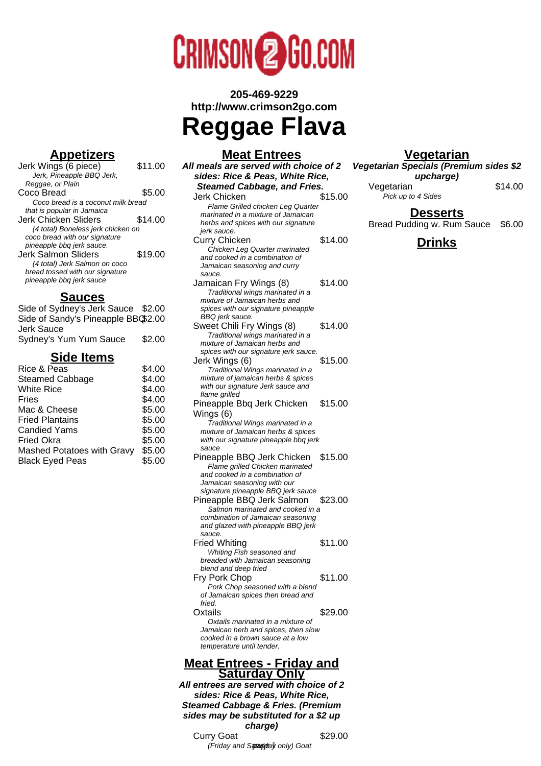

**205-469-9229 http://www.crimson2go.com**

# **Reggae Flava**

#### **Meat Entrees**

#### **Appetizers** Jerk Wings (6 piece) \$11.00 Jerk, Pineapple BBQ Jerk, Reggae, or Plain Coco Bread \$5.00 Coco bread is a coconut milk bread that is popular in Jamaica Jerk Chicken Sliders \$14.00 (4 total) Boneless jerk chicken on coco bread with our signature pineapple bbq jerk sauce. Jerk Salmon Sliders \$19.00 (4 total) Jerk Salmon on coco bread tossed with our signature pineapple bbq jerk sauce

## **Sauces**

| Side of Sydney's Jerk Sauce \$2.00  |        |
|-------------------------------------|--------|
| Side of Sandy's Pineapple BBG\$2.00 |        |
| Jerk Sauce                          |        |
| Sydney's Yum Yum Sauce              | \$2.00 |
|                                     |        |

# **Side Items**

| Rice & Peas                | \$4.00 |
|----------------------------|--------|
| <b>Steamed Cabbage</b>     | \$4.00 |
| <b>White Rice</b>          | \$4.00 |
| Fries                      | \$4.00 |
| Mac & Cheese               | \$5.00 |
| <b>Fried Plantains</b>     | \$5.00 |
| <b>Candied Yams</b>        | \$5.00 |
| <b>Fried Okra</b>          | \$5.00 |
| Mashed Potatoes with Gravy | \$5.00 |
| <b>Black Eyed Peas</b>     | \$5.00 |
|                            |        |

#### **All meals are served with choice of 2 sides: Rice & Peas, White Rice, Steamed Cabbage, and Fries.** Jerk Chicken \$15.00 Flame Grilled chicken Leg Quarter marinated in a mixture of Jamaican herbs and spices with our signature jerk sauce. Curry Chicken \$14.00 Chicken Leg Quarter marinated and cooked in a combination of Jamaican seasoning and curry sauce. Jamaican Fry Wings (8) \$14.00 Traditional wings marinated in a mixture of Jamaican herbs and spices with our signature pineapple BBQ jerk sauce. Sweet Chili Fry Wings (8) \$14.00 Traditional wings marinated in a mixture of Jamaican herbs and spices with our signature jerk sauce. Jerk Wings (6) \$15.00 Traditional Wings marinated in a mixture of jamaican herbs & spices with our signature Jerk sauce and flame grilled Pineapple Bbq Jerk Chicken Wings (6) \$15.00 Traditional Wings marinated in a mixture of Jamaican herbs & spices with our signature pineapple bbq jerk sauce Pineapple BBQ Jerk Chicken \$15.00 Flame grilled Chicken marinated and cooked in a combination of Jamaican seasoning with our signature pineapple BBQ jerk sauce Pineapple BBQ Jerk Salmon \$23.00 Salmon marinated and cooked in a combination of Jamaican seasoning and glazed with pineapple BBQ jerk sauce. Fried Whiting \$11.00 Whiting Fish seasoned and breaded with Jamaican seasoning blend and deep fried Fry Pork Chop \$11.00 Pork Chop seasoned with a blend of Jamaican spices then bread and fried. Oxtails \$29.00 Oxtails marinated in a mixture of Jamaican herb and spices, then slow cooked in a brown sauce at a low temperature until tender.

#### **Meat Entrees - Friday and Saturday Only**

**All entrees are served with choice of 2 sides: Rice & Peas, White Rice, Steamed Cabbage & Fries. (Premium sides may be substituted for a \$2 up charge)** Curry Goat 529.00

(Friday and Sptagday only) Goat

## **Vegetarian**

**Vegetarian Specials (Premium sides \$2 upcharge)** Vegetarian \$14.00 Pick up to 4 Sides

**Desserts**

Bread Pudding w. Rum Sauce \$6.00

## **Drinks**